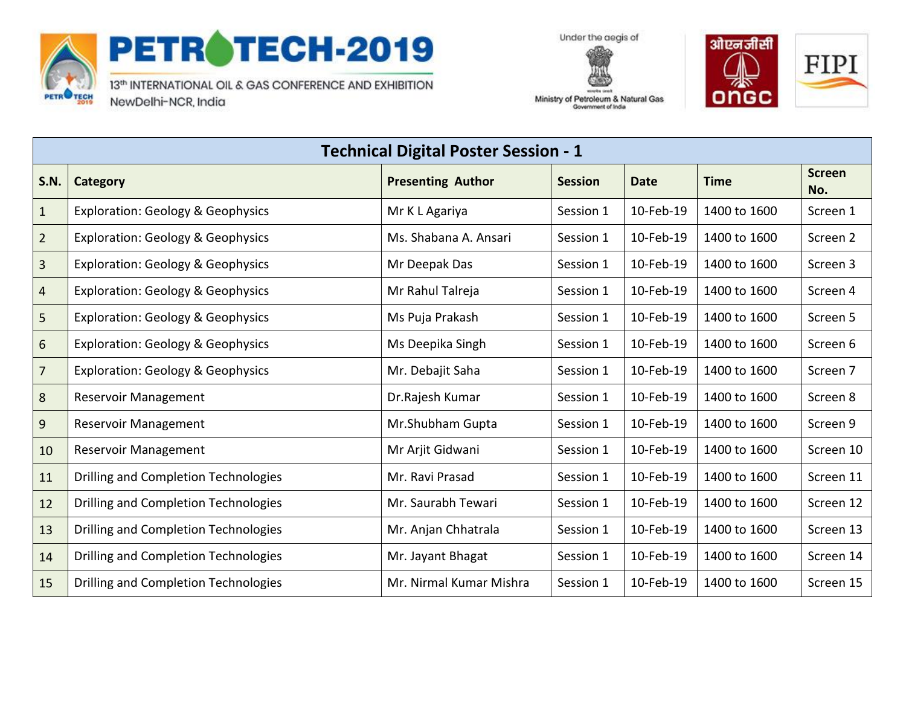

## PETROTECH-2019

13th INTERNATIONAL OIL & GAS CONFERENCE AND EXHIBITION NewDelhi-NCR, India





Ministry of Petroleum & Natural Gas Government of India

| <b>Technical Digital Poster Session - 1</b> |                                              |                          |                |             |              |                      |  |
|---------------------------------------------|----------------------------------------------|--------------------------|----------------|-------------|--------------|----------------------|--|
| <b>S.N.</b>                                 | Category                                     | <b>Presenting Author</b> | <b>Session</b> | <b>Date</b> | <b>Time</b>  | <b>Screen</b><br>No. |  |
| $\mathbf{1}$                                | <b>Exploration: Geology &amp; Geophysics</b> | Mr K L Agariya           | Session 1      | 10-Feb-19   | 1400 to 1600 | Screen 1             |  |
| $\overline{2}$                              | <b>Exploration: Geology &amp; Geophysics</b> | Ms. Shabana A. Ansari    | Session 1      | 10-Feb-19   | 1400 to 1600 | Screen 2             |  |
| $\mathbf{3}$                                | <b>Exploration: Geology &amp; Geophysics</b> | Mr Deepak Das            | Session 1      | 10-Feb-19   | 1400 to 1600 | Screen 3             |  |
| $\overline{4}$                              | <b>Exploration: Geology &amp; Geophysics</b> | Mr Rahul Talreja         | Session 1      | 10-Feb-19   | 1400 to 1600 | Screen 4             |  |
| 5                                           | <b>Exploration: Geology &amp; Geophysics</b> | Ms Puja Prakash          | Session 1      | 10-Feb-19   | 1400 to 1600 | Screen 5             |  |
| 6                                           | <b>Exploration: Geology &amp; Geophysics</b> | Ms Deepika Singh         | Session 1      | 10-Feb-19   | 1400 to 1600 | Screen 6             |  |
| $\overline{7}$                              | <b>Exploration: Geology &amp; Geophysics</b> | Mr. Debajit Saha         | Session 1      | 10-Feb-19   | 1400 to 1600 | Screen 7             |  |
| 8                                           | <b>Reservoir Management</b>                  | Dr.Rajesh Kumar          | Session 1      | 10-Feb-19   | 1400 to 1600 | Screen 8             |  |
| 9                                           | <b>Reservoir Management</b>                  | Mr.Shubham Gupta         | Session 1      | 10-Feb-19   | 1400 to 1600 | Screen 9             |  |
| 10                                          | <b>Reservoir Management</b>                  | Mr Arjit Gidwani         | Session 1      | 10-Feb-19   | 1400 to 1600 | Screen 10            |  |
| 11                                          | Drilling and Completion Technologies         | Mr. Ravi Prasad          | Session 1      | 10-Feb-19   | 1400 to 1600 | Screen 11            |  |
| 12                                          | Drilling and Completion Technologies         | Mr. Saurabh Tewari       | Session 1      | 10-Feb-19   | 1400 to 1600 | Screen 12            |  |
| 13                                          | Drilling and Completion Technologies         | Mr. Anjan Chhatrala      | Session 1      | 10-Feb-19   | 1400 to 1600 | Screen 13            |  |
| 14                                          | Drilling and Completion Technologies         | Mr. Jayant Bhagat        | Session 1      | 10-Feb-19   | 1400 to 1600 | Screen 14            |  |
| 15                                          | Drilling and Completion Technologies         | Mr. Nirmal Kumar Mishra  | Session 1      | 10-Feb-19   | 1400 to 1600 | Screen 15            |  |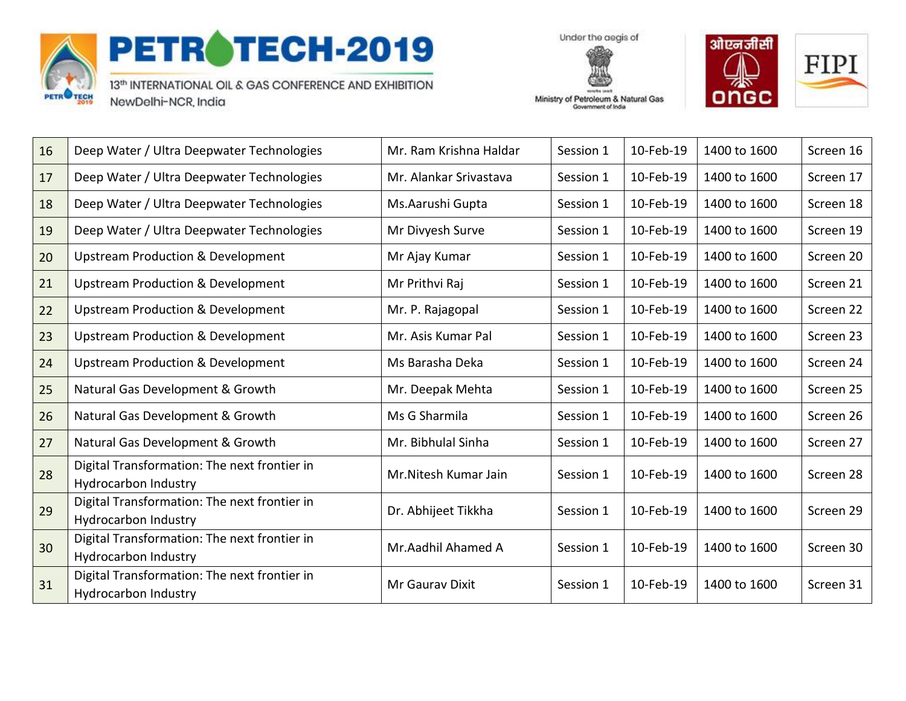

## PETROTECH-2019

13th INTERNATIONAL OIL & GAS CONFERENCE AND EXHIBITION NewDelhi-NCR, India

Under the aegis of Ministry of Petroleum & Natural Gas

Government of India



| 16 | Deep Water / Ultra Deepwater Technologies                                   | Mr. Ram Krishna Haldar | Session 1 | 10-Feb-19 | 1400 to 1600 | Screen 16 |
|----|-----------------------------------------------------------------------------|------------------------|-----------|-----------|--------------|-----------|
| 17 | Deep Water / Ultra Deepwater Technologies                                   | Mr. Alankar Srivastava | Session 1 | 10-Feb-19 | 1400 to 1600 | Screen 17 |
| 18 | Deep Water / Ultra Deepwater Technologies                                   | Ms.Aarushi Gupta       | Session 1 | 10-Feb-19 | 1400 to 1600 | Screen 18 |
| 19 | Deep Water / Ultra Deepwater Technologies                                   | Mr Divyesh Surve       | Session 1 | 10-Feb-19 | 1400 to 1600 | Screen 19 |
| 20 | <b>Upstream Production &amp; Development</b>                                | Mr Ajay Kumar          | Session 1 | 10-Feb-19 | 1400 to 1600 | Screen 20 |
| 21 | <b>Upstream Production &amp; Development</b>                                | Mr Prithvi Raj         | Session 1 | 10-Feb-19 | 1400 to 1600 | Screen 21 |
| 22 | <b>Upstream Production &amp; Development</b>                                | Mr. P. Rajagopal       | Session 1 | 10-Feb-19 | 1400 to 1600 | Screen 22 |
| 23 | <b>Upstream Production &amp; Development</b>                                | Mr. Asis Kumar Pal     | Session 1 | 10-Feb-19 | 1400 to 1600 | Screen 23 |
| 24 | <b>Upstream Production &amp; Development</b>                                | Ms Barasha Deka        | Session 1 | 10-Feb-19 | 1400 to 1600 | Screen 24 |
| 25 | Natural Gas Development & Growth                                            | Mr. Deepak Mehta       | Session 1 | 10-Feb-19 | 1400 to 1600 | Screen 25 |
| 26 | Natural Gas Development & Growth                                            | Ms G Sharmila          | Session 1 | 10-Feb-19 | 1400 to 1600 | Screen 26 |
| 27 | Natural Gas Development & Growth                                            | Mr. Bibhulal Sinha     | Session 1 | 10-Feb-19 | 1400 to 1600 | Screen 27 |
| 28 | Digital Transformation: The next frontier in<br><b>Hydrocarbon Industry</b> | Mr. Nitesh Kumar Jain  | Session 1 | 10-Feb-19 | 1400 to 1600 | Screen 28 |
| 29 | Digital Transformation: The next frontier in<br><b>Hydrocarbon Industry</b> | Dr. Abhijeet Tikkha    | Session 1 | 10-Feb-19 | 1400 to 1600 | Screen 29 |
| 30 | Digital Transformation: The next frontier in<br>Hydrocarbon Industry        | Mr.Aadhil Ahamed A     | Session 1 | 10-Feb-19 | 1400 to 1600 | Screen 30 |
| 31 | Digital Transformation: The next frontier in<br>Hydrocarbon Industry        | Mr Gauray Dixit        | Session 1 | 10-Feb-19 | 1400 to 1600 | Screen 31 |